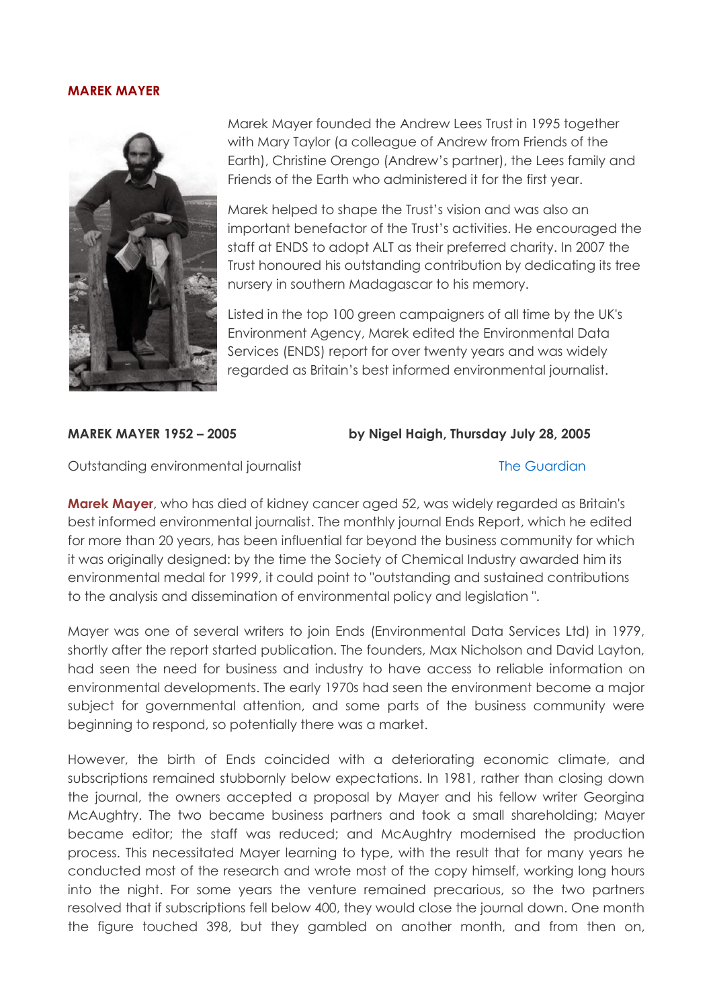## **MAREK MAYER**



Marek Mayer founded the Andrew Lees Trust in 1995 together with Mary Taylor (a colleague of Andrew from Friends of the Earth), Christine Orengo (Andrew's partner), the Lees family and Friends of the Earth who administered it for the first year.

Marek helped to shape the Trust's vision and was also an important benefactor of the Trust's activities. He encouraged the staff at ENDS to adopt ALT as their preferred charity. In 2007 the Trust honoured his outstanding contribution by dedicating its tree nursery in southern Madagascar to his memory.

Listed in the top 100 green campaigners of all time by the UK's Environment Agency, Marek edited the Environmental Data Services (ENDS) report for over twenty years and was widely regarded as Britain's best informed environmental journalist.

## **MAREK MAYER 1952 – 2005 by Nigel Haigh, Thursday July 28, 2005**

Outstanding environmental journalist [The Guardian](http://www.guardian.co.uk/) The Guardian

**Marek Mayer**, who has died of kidney cancer aged 52, was widely regarded as Britain's best informed environmental journalist. The monthly journal Ends Report, which he edited for more than 20 years, has been influential far beyond the business community for which it was originally designed: by the time the Society of Chemical Industry awarded him its environmental medal for 1999, it could point to "outstanding and sustained contributions to the analysis and dissemination of environmental policy and legislation ".

Mayer was one of several writers to join Ends (Environmental Data Services Ltd) in 1979, shortly after the report started publication. The founders, Max Nicholson and David Layton, had seen the need for business and industry to have access to reliable information on environmental developments. The early 1970s had seen the environment become a major subject for governmental attention, and some parts of the business community were beginning to respond, so potentially there was a market.

However, the birth of Ends coincided with a deteriorating economic climate, and subscriptions remained stubbornly below expectations. In 1981, rather than closing down the journal, the owners accepted a proposal by Mayer and his fellow writer Georgina McAughtry. The two became business partners and took a small shareholding; Mayer became editor; the staff was reduced; and McAughtry modernised the production process. This necessitated Mayer learning to type, with the result that for many years he conducted most of the research and wrote most of the copy himself, working long hours into the night. For some years the venture remained precarious, so the two partners resolved that if subscriptions fell below 400, they would close the journal down. One month the figure touched 398, but they gambled on another month, and from then on,